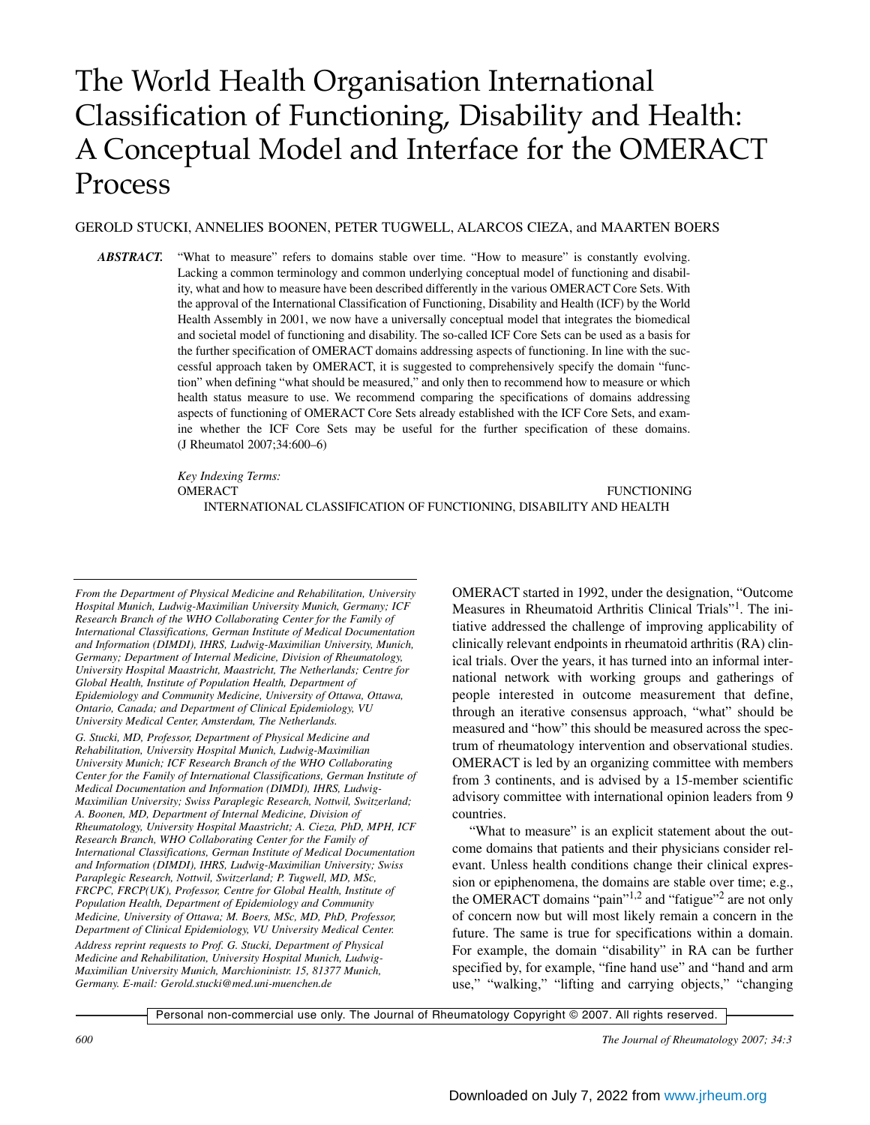# The World Health Organisation International Classification of Functioning, Disability and Health: A Conceptual Model and Interface for the OMERACT Process

#### GEROLD STUCKI, ANNELIES BOONEN, PETER TUGWELL, ALARCOS CIEZA, and MAARTEN BOERS

ABSTRACT. "What to measure" refers to domains stable over time. "How to measure" is constantly evolving. Lacking a common terminology and common underlying conceptual model of functioning and disability, what and how to measure have been described differently in the various OMERACT Core Sets. With the approval of the International Classification of Functioning, Disability and Health (ICF) by the World Health Assembly in 2001, we now have a universally conceptual model that integrates the biomedical and societal model of functioning and disability. The so-called ICF Core Sets can be used as a basis for the further specification of OMERACT domains addressing aspects of functioning. In line with the successful approach taken by OMERACT, it is suggested to comprehensively specify the domain "function" when defining "what should be measured," and only then to recommend how to measure or which health status measure to use. We recommend comparing the specifications of domains addressing aspects of functioning of OMERACT Core Sets already established with the ICF Core Sets, and examine whether the ICF Core Sets may be useful for the further specification of these domains. (J Rheumatol 2007;34:600–6)

> *Key Indexing Terms:* OMERACT FUNCTIONING

INTERNATIONAL CLASSIFICATION OF FUNCTIONING, DISABILITY AND HEALTH

*From the Department of Physical Medicine and Rehabilitation, University Hospital Munich, Ludwig-Maximilian University Munich, Germany; ICF Research Branch of the WHO Collaborating Center for the Family of International Classifications, German Institute of Medical Documentation and Information (DIMDI), IHRS, Ludwig-Maximilian University, Munich, Germany; Department of Internal Medicine, Division of Rheumatology, University Hospital Maastricht, Maastricht, The Netherlands; Centre for Global Health, Institute of Population Health, Department of Epidemiology and Community Medicine, University of Ottawa, Ottawa, Ontario, Canada; and Department of Clinical Epidemiology, VU University Medical Center, Amsterdam, The Netherlands.*

*G. Stucki, MD, Professor, Department of Physical Medicine and Rehabilitation, University Hospital Munich, Ludwig-Maximilian University Munich; ICF Research Branch of the WHO Collaborating Center for the Family of International Classifications, German Institute of Medical Documentation and Information (DIMDI), IHRS, Ludwig-Maximilian University; Swiss Paraplegic Research, Nottwil, Switzerland; A. Boonen, MD, Department of Internal Medicine, Division of Rheumatology, University Hospital Maastricht; A. Cieza, PhD, MPH, ICF Research Branch, WHO Collaborating Center for the Family of International Classifications, German Institute of Medical Documentation and Information (DIMDI), IHRS, Ludwig-Maximilian University; Swiss Paraplegic Research, Nottwil, Switzerland; P. Tugwell, MD, MSc, FRCPC, FRCP(UK), Professor, Centre for Global Health, Institute of Population Health, Department of Epidemiology and Community Medicine, University of Ottawa; M. Boers, MSc, MD, PhD, Professor, Department of Clinical Epidemiology, VU University Medical Center. Address reprint requests to Prof. G. Stucki, Department of Physical Medicine and Rehabilitation, University Hospital Munich, Ludwig-Maximilian University Munich, Marchioninistr. 15, 81377 Munich, Germany. E-mail: Gerold.stucki@med.uni-muenchen.de*

OMERACT started in 1992, under the designation, "Outcome Measures in Rheumatoid Arthritis Clinical Trials"1. The initiative addressed the challenge of improving applicability of clinically relevant endpoints in rheumatoid arthritis (RA) clinical trials. Over the years, it has turned into an informal international network with working groups and gatherings of people interested in outcome measurement that define, through an iterative consensus approach, "what" should be measured and "how" this should be measured across the spectrum of rheumatology intervention and observational studies. OMERACT is led by an organizing committee with members from 3 continents, and is advised by a 15-member scientific advisory committee with international opinion leaders from 9 countries.

"What to measure" is an explicit statement about the outcome domains that patients and their physicians consider relevant. Unless health conditions change their clinical expression or epiphenomena, the domains are stable over time; e.g., the OMERACT domains "pain"<sup>1,2</sup> and "fatigue"<sup>2</sup> are not only of concern now but will most likely remain a concern in the future. The same is true for specifications within a domain. For example, the domain "disability" in RA can be further specified by, for example, "fine hand use" and "hand and arm use," "walking," "lifting and carrying objects," "changing

Personal non-commercial use only. The Journal of Rheumatology Copyright © 2007. All rights reserved.

*600 The Journal of Rheumatology 2007; 34:3*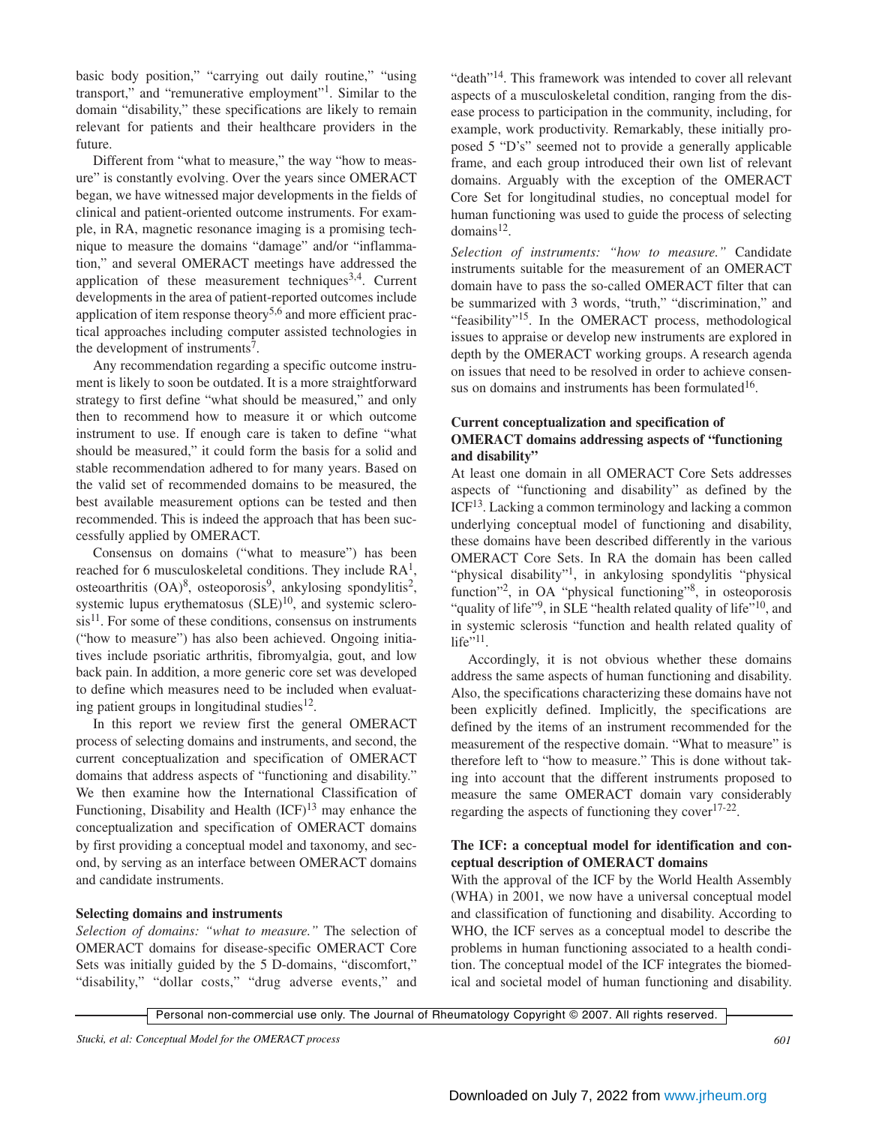basic body position," "carrying out daily routine," "using transport," and "remunerative employment"1. Similar to the domain "disability," these specifications are likely to remain relevant for patients and their healthcare providers in the future.

Different from "what to measure," the way "how to measure" is constantly evolving. Over the years since OMERACT began, we have witnessed major developments in the fields of clinical and patient-oriented outcome instruments. For example, in RA, magnetic resonance imaging is a promising technique to measure the domains "damage" and/or "inflammation," and several OMERACT meetings have addressed the application of these measurement techniques<sup>3,4</sup>. Current developments in the area of patient-reported outcomes include application of item response theory<sup>5,6</sup> and more efficient practical approaches including computer assisted technologies in the development of instruments<sup>7</sup>.

Any recommendation regarding a specific outcome instrument is likely to soon be outdated. It is a more straightforward strategy to first define "what should be measured," and only then to recommend how to measure it or which outcome instrument to use. If enough care is taken to define "what should be measured," it could form the basis for a solid and stable recommendation adhered to for many years. Based on the valid set of recommended domains to be measured, the best available measurement options can be tested and then recommended. This is indeed the approach that has been successfully applied by OMERACT.

Consensus on domains ("what to measure") has been reached for 6 musculoskeletal conditions. They include  $RA<sup>1</sup>$ , osteoarthritis  $(OA)^8$ , osteoporosis<sup>9</sup>, ankylosing spondylitis<sup>2</sup>, systemic lupus erythematosus  $(SLE)^{10}$ , and systemic sclero $sis<sup>11</sup>$ . For some of these conditions, consensus on instruments ("how to measure") has also been achieved. Ongoing initiatives include psoriatic arthritis, fibromyalgia, gout, and low back pain. In addition, a more generic core set was developed to define which measures need to be included when evaluating patient groups in longitudinal studies $12$ .

In this report we review first the general OMERACT process of selecting domains and instruments, and second, the current conceptualization and specification of OMERACT domains that address aspects of "functioning and disability." We then examine how the International Classification of Functioning, Disability and Health  $(ICF)^{13}$  may enhance the conceptualization and specification of OMERACT domains by first providing a conceptual model and taxonomy, and second, by serving as an interface between OMERACT domains and candidate instruments.

#### **Selecting domains and instruments**

*Selection of domains: "what to measure."* The selection of OMERACT domains for disease-specific OMERACT Core Sets was initially guided by the 5 D-domains, "discomfort," "disability," "dollar costs," "drug adverse events," and "death"<sup>14</sup>. This framework was intended to cover all relevant aspects of a musculoskeletal condition, ranging from the disease process to participation in the community, including, for example, work productivity. Remarkably, these initially proposed 5 "D's" seemed not to provide a generally applicable frame, and each group introduced their own list of relevant domains. Arguably with the exception of the OMERACT Core Set for longitudinal studies, no conceptual model for human functioning was used to guide the process of selecting  $domains<sup>12</sup>$ .

*Selection of instruments: "how to measure."* Candidate instruments suitable for the measurement of an OMERACT domain have to pass the so-called OMERACT filter that can be summarized with 3 words, "truth," "discrimination," and "feasibility"<sup>15</sup>. In the OMERACT process, methodological issues to appraise or develop new instruments are explored in depth by the OMERACT working groups. A research agenda on issues that need to be resolved in order to achieve consensus on domains and instruments has been formulated $16$ .

## **Current conceptualization and specification of OMERACT domains addressing aspects of "functioning and disability"**

At least one domain in all OMERACT Core Sets addresses aspects of "functioning and disability" as defined by the ICF13. Lacking a common terminology and lacking a common underlying conceptual model of functioning and disability, these domains have been described differently in the various OMERACT Core Sets. In RA the domain has been called "physical disability"1, in ankylosing spondylitis "physical function"<sup>2</sup>, in OA "physical functioning"<sup>8</sup>, in osteoporosis "quality of life"<sup>9</sup>, in SLE "health related quality of life"<sup>10</sup>, and in systemic sclerosis "function and health related quality of life $"^{11}$ .

Accordingly, it is not obvious whether these domains address the same aspects of human functioning and disability. Also, the specifications characterizing these domains have not been explicitly defined. Implicitly, the specifications are defined by the items of an instrument recommended for the measurement of the respective domain. "What to measure" is therefore left to "how to measure." This is done without taking into account that the different instruments proposed to measure the same OMERACT domain vary considerably regarding the aspects of functioning they cover $17-22$ .

#### **The ICF: a conceptual model for identification and conceptual description of OMERACT domains**

With the approval of the ICF by the World Health Assembly (WHA) in 2001, we now have a universal conceptual model and classification of functioning and disability. According to WHO, the ICF serves as a conceptual model to describe the problems in human functioning associated to a health condition. The conceptual model of the ICF integrates the biomedical and societal model of human functioning and disability.

Personal non-commercial use only. The Journal of Rheumatology Copyright @ 2007. All rights reserved.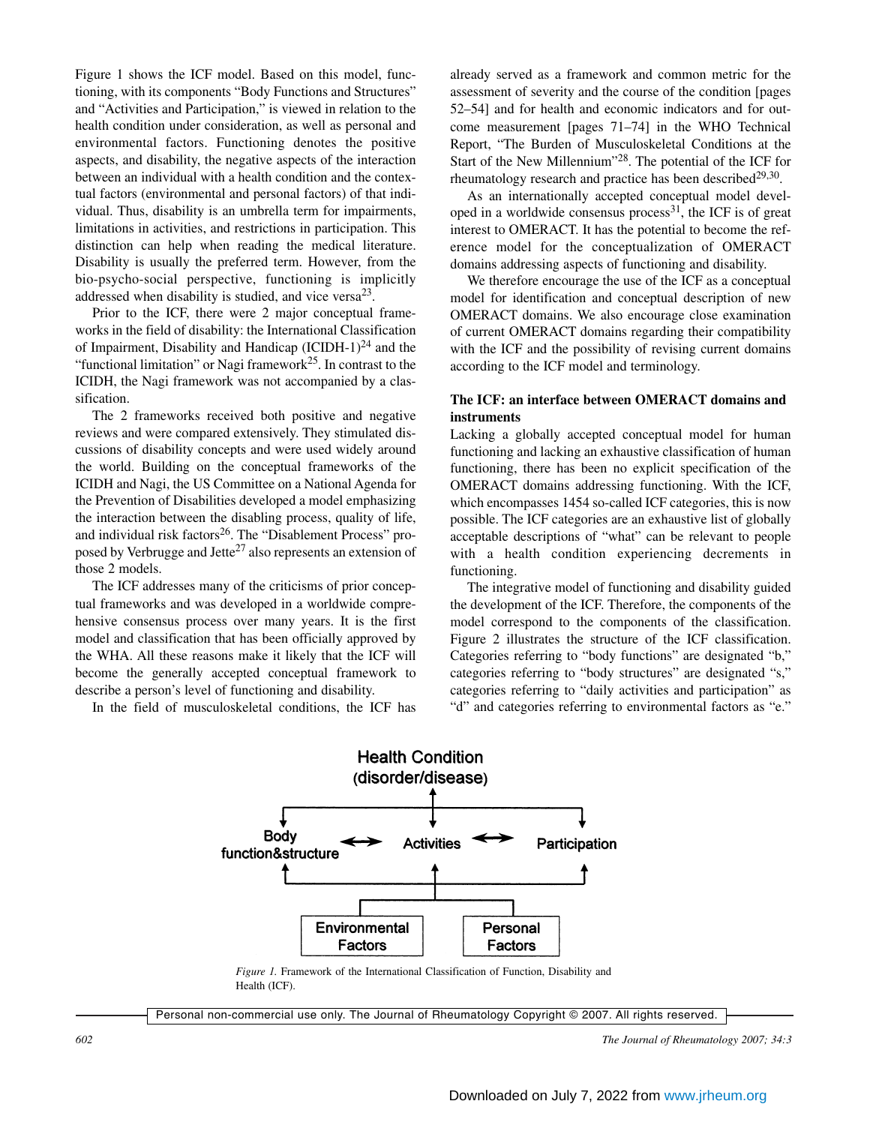Figure 1 shows the ICF model. Based on this model, functioning, with its components "Body Functions and Structures" and "Activities and Participation," is viewed in relation to the health condition under consideration, as well as personal and environmental factors. Functioning denotes the positive aspects, and disability, the negative aspects of the interaction between an individual with a health condition and the contextual factors (environmental and personal factors) of that individual. Thus, disability is an umbrella term for impairments, limitations in activities, and restrictions in participation. This distinction can help when reading the medical literature. Disability is usually the preferred term. However, from the bio-psycho-social perspective, functioning is implicitly addressed when disability is studied, and vice versa  $2^3$ .

Prior to the ICF, there were 2 major conceptual frameworks in the field of disability: the International Classification of Impairment, Disability and Handicap  $(ICIDH-1)<sup>24</sup>$  and the "functional limitation" or Nagi framework<sup>25</sup>. In contrast to the ICIDH, the Nagi framework was not accompanied by a classification.

The 2 frameworks received both positive and negative reviews and were compared extensively. They stimulated discussions of disability concepts and were used widely around the world. Building on the conceptual frameworks of the ICIDH and Nagi, the US Committee on a National Agenda for the Prevention of Disabilities developed a model emphasizing the interaction between the disabling process, quality of life, and individual risk factors<sup>26</sup>. The "Disablement Process" proposed by Verbrugge and Jette<sup>27</sup> also represents an extension of those 2 models.

The ICF addresses many of the criticisms of prior conceptual frameworks and was developed in a worldwide comprehensive consensus process over many years. It is the first model and classification that has been officially approved by the WHA. All these reasons make it likely that the ICF will become the generally accepted conceptual framework to describe a person's level of functioning and disability.

In the field of musculoskeletal conditions, the ICF has

already served as a framework and common metric for the assessment of severity and the course of the condition [pages 52–54] and for health and economic indicators and for outcome measurement [pages 71–74] in the WHO Technical Report, "The Burden of Musculoskeletal Conditions at the Start of the New Millennium"28. The potential of the ICF for rheumatology research and practice has been described $29,30$ .

As an internationally accepted conceptual model developed in a worldwide consensus process $31$ , the ICF is of great interest to OMERACT. It has the potential to become the reference model for the conceptualization of OMERACT domains addressing aspects of functioning and disability.

We therefore encourage the use of the ICF as a conceptual model for identification and conceptual description of new OMERACT domains. We also encourage close examination of current OMERACT domains regarding their compatibility with the ICF and the possibility of revising current domains according to the ICF model and terminology.

#### **The ICF: an interface between OMERACT domains and instruments**

Lacking a globally accepted conceptual model for human functioning and lacking an exhaustive classification of human functioning, there has been no explicit specification of the OMERACT domains addressing functioning. With the ICF, which encompasses 1454 so-called ICF categories, this is now possible. The ICF categories are an exhaustive list of globally acceptable descriptions of "what" can be relevant to people with a health condition experiencing decrements in functioning.

The integrative model of functioning and disability guided the development of the ICF. Therefore, the components of the model correspond to the components of the classification. Figure 2 illustrates the structure of the ICF classification. Categories referring to "body functions" are designated "b," categories referring to "body structures" are designated "s," categories referring to "daily activities and participation" as "d" and categories referring to environmental factors as "e."



*Figure 1.* Framework of the International Classification of Function, Disability and Health (ICF).

Personal non-commercial use only. The Journal of Rheumatology Copyright © 2007. All rights reserved.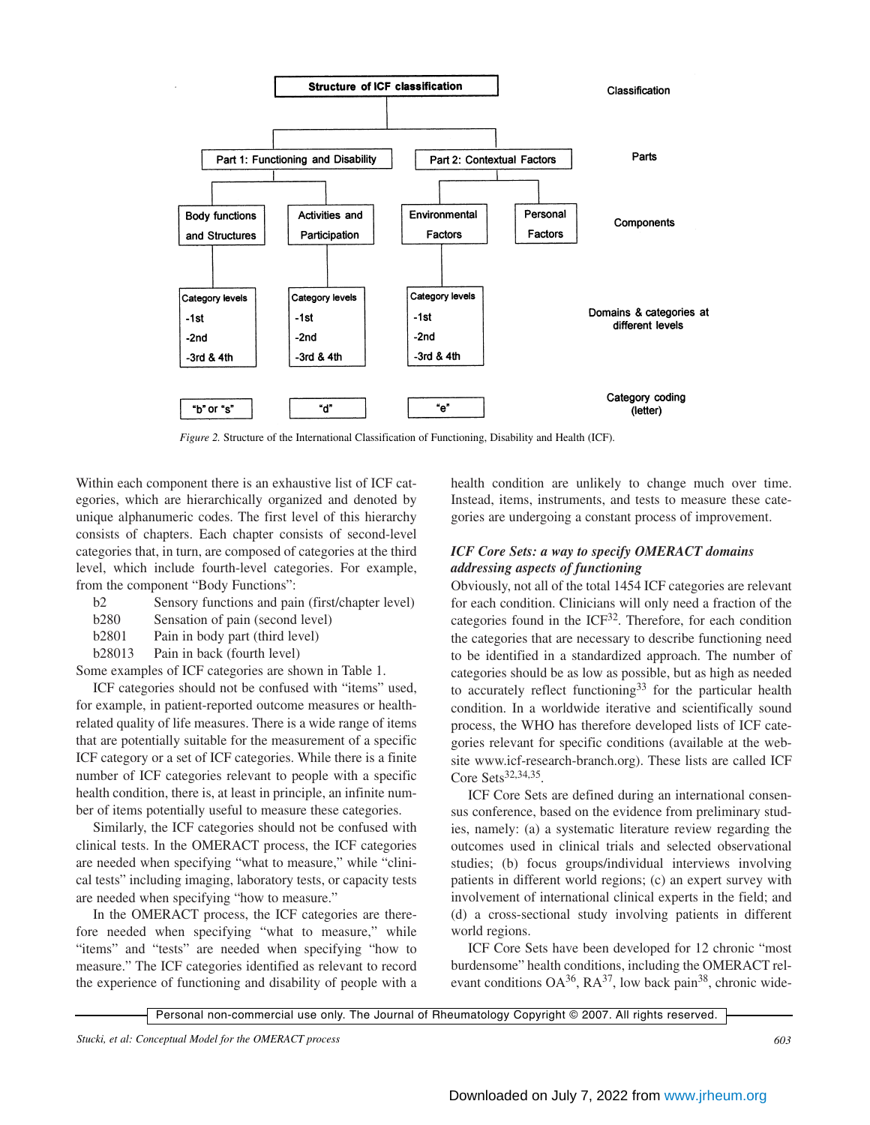

*Figure 2.* Structure of the International Classification of Functioning, Disability and Health (ICF).

Within each component there is an exhaustive list of ICF categories, which are hierarchically organized and denoted by unique alphanumeric codes. The first level of this hierarchy consists of chapters. Each chapter consists of second-level categories that, in turn, are composed of categories at the third level, which include fourth-level categories. For example, from the component "Body Functions":

| b2 |  |  |  | Sensory functions and pain (first/chapter level) |  |
|----|--|--|--|--------------------------------------------------|--|
|----|--|--|--|--------------------------------------------------|--|

b280 Sensation of pain (second level)

b2801 Pain in body part (third level)

b28013 Pain in back (fourth level)

Some examples of ICF categories are shown in Table 1.

ICF categories should not be confused with "items" used, for example, in patient-reported outcome measures or healthrelated quality of life measures. There is a wide range of items that are potentially suitable for the measurement of a specific ICF category or a set of ICF categories. While there is a finite number of ICF categories relevant to people with a specific health condition, there is, at least in principle, an infinite number of items potentially useful to measure these categories.

Similarly, the ICF categories should not be confused with clinical tests. In the OMERACT process, the ICF categories are needed when specifying "what to measure," while "clinical tests" including imaging, laboratory tests, or capacity tests are needed when specifying "how to measure."

In the OMERACT process, the ICF categories are therefore needed when specifying "what to measure," while "items" and "tests" are needed when specifying "how to measure." The ICF categories identified as relevant to record the experience of functioning and disability of people with a health condition are unlikely to change much over time. Instead, items, instruments, and tests to measure these categories are undergoing a constant process of improvement.

## *ICF Core Sets: a way to specify OMERACT domains addressing aspects of functioning*

Obviously, not all of the total 1454 ICF categories are relevant for each condition. Clinicians will only need a fraction of the categories found in the  $ICF<sup>32</sup>$ . Therefore, for each condition the categories that are necessary to describe functioning need to be identified in a standardized approach. The number of categories should be as low as possible, but as high as needed to accurately reflect functioning<sup>33</sup> for the particular health condition. In a worldwide iterative and scientifically sound process, the WHO has therefore developed lists of ICF categories relevant for specific conditions (available at the website www.icf-research-branch.org). These lists are called ICF Core Sets $32,34,35$ .

ICF Core Sets are defined during an international consensus conference, based on the evidence from preliminary studies, namely: (a) a systematic literature review regarding the outcomes used in clinical trials and selected observational studies; (b) focus groups/individual interviews involving patients in different world regions; (c) an expert survey with involvement of international clinical experts in the field; and (d) a cross-sectional study involving patients in different world regions.

ICF Core Sets have been developed for 12 chronic "most burdensome" health conditions, including the OMERACT relevant conditions  $OA^{36}$ ,  $RA^{37}$ , low back pain<sup>38</sup>, chronic wide-

Personal non-commercial use only. The Journal of Rheumatology Copyright © 2007. All rights reserved.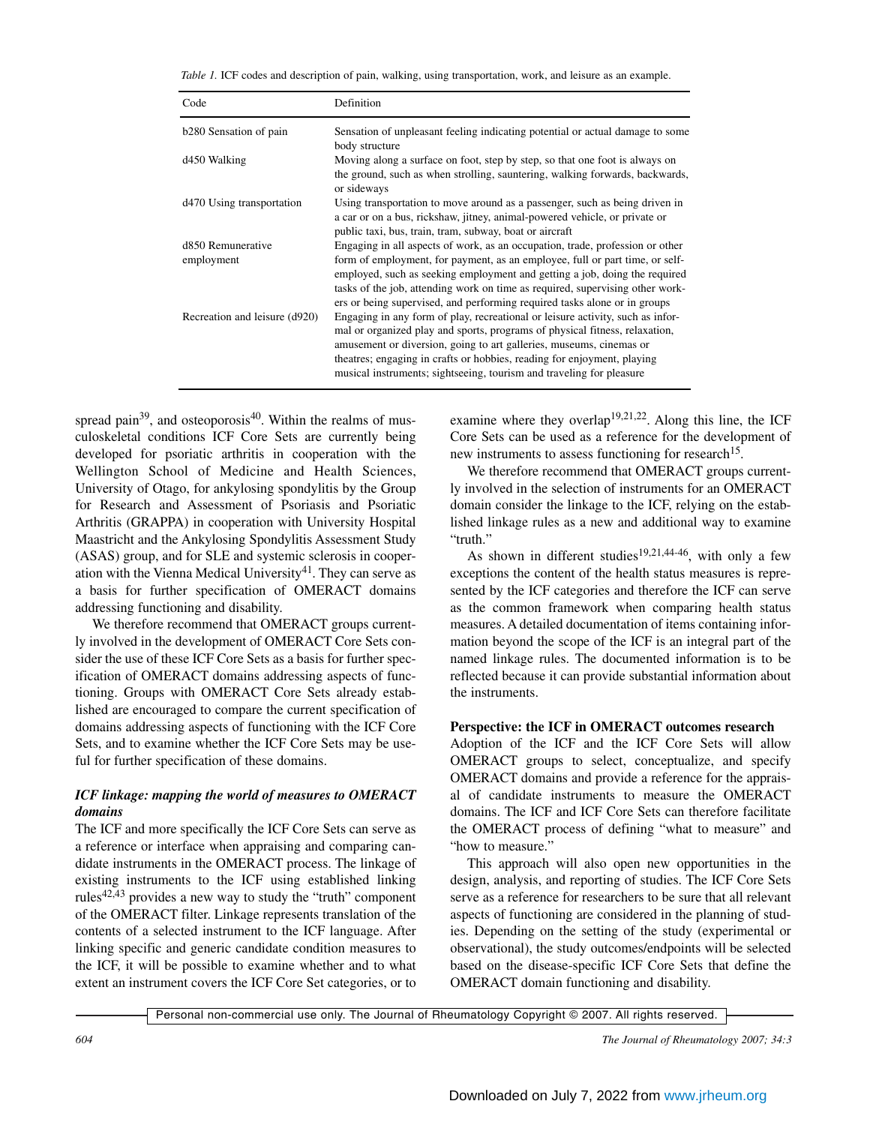*Table 1.* ICF codes and description of pain, walking, using transportation, work, and leisure as an example.

| Code                            | Definition                                                                                                                                                                                                                                                                                                                                                                                                |
|---------------------------------|-----------------------------------------------------------------------------------------------------------------------------------------------------------------------------------------------------------------------------------------------------------------------------------------------------------------------------------------------------------------------------------------------------------|
| b280 Sensation of pain          | Sensation of unpleasant feeling indicating potential or actual damage to some<br>body structure                                                                                                                                                                                                                                                                                                           |
| d450 Walking                    | Moving along a surface on foot, step by step, so that one foot is always on<br>the ground, such as when strolling, sauntering, walking forwards, backwards,<br>or sideways                                                                                                                                                                                                                                |
| d470 Using transportation       | Using transportation to move around as a passenger, such as being driven in<br>a car or on a bus, rickshaw, jitney, animal-powered vehicle, or private or<br>public taxi, bus, train, tram, subway, boat or aircraft                                                                                                                                                                                      |
| d850 Remunerative<br>employment | Engaging in all aspects of work, as an occupation, trade, profession or other<br>form of employment, for payment, as an employee, full or part time, or self-<br>employed, such as seeking employment and getting a job, doing the required<br>tasks of the job, attending work on time as required, supervising other work-<br>ers or being supervised, and performing required tasks alone or in groups |
| Recreation and leisure (d920)   | Engaging in any form of play, recreational or leisure activity, such as infor-<br>mal or organized play and sports, programs of physical fitness, relaxation,<br>amusement or diversion, going to art galleries, museums, cinemas or<br>theatres; engaging in crafts or hobbies, reading for enjoyment, playing<br>musical instruments; sightseeing, tourism and traveling for pleasure                   |

spread pain<sup>39</sup>, and osteoporosis<sup>40</sup>. Within the realms of musculoskeletal conditions ICF Core Sets are currently being developed for psoriatic arthritis in cooperation with the Wellington School of Medicine and Health Sciences, University of Otago, for ankylosing spondylitis by the Group for Research and Assessment of Psoriasis and Psoriatic Arthritis (GRAPPA) in cooperation with University Hospital Maastricht and the Ankylosing Spondylitis Assessment Study (ASAS) group, and for SLE and systemic sclerosis in cooperation with the Vienna Medical University<sup>41</sup>. They can serve as a basis for further specification of OMERACT domains addressing functioning and disability.

We therefore recommend that OMERACT groups currently involved in the development of OMERACT Core Sets consider the use of these ICF Core Sets as a basis for further specification of OMERACT domains addressing aspects of functioning. Groups with OMERACT Core Sets already established are encouraged to compare the current specification of domains addressing aspects of functioning with the ICF Core Sets, and to examine whether the ICF Core Sets may be useful for further specification of these domains.

#### *ICF linkage: mapping the world of measures to OMERACT domains*

The ICF and more specifically the ICF Core Sets can serve as a reference or interface when appraising and comparing candidate instruments in the OMERACT process. The linkage of existing instruments to the ICF using established linking rules $42,43$  provides a new way to study the "truth" component of the OMERACT filter. Linkage represents translation of the contents of a selected instrument to the ICF language. After linking specific and generic candidate condition measures to the ICF, it will be possible to examine whether and to what extent an instrument covers the ICF Core Set categories, or to

examine where they overlap<sup>19,21,22</sup>. Along this line, the ICF Core Sets can be used as a reference for the development of new instruments to assess functioning for research<sup>15</sup>.

We therefore recommend that OMERACT groups currently involved in the selection of instruments for an OMERACT domain consider the linkage to the ICF, relying on the established linkage rules as a new and additional way to examine "truth."

As shown in different studies<sup>19,21,44-46</sup>, with only a few exceptions the content of the health status measures is represented by the ICF categories and therefore the ICF can serve as the common framework when comparing health status measures. A detailed documentation of items containing information beyond the scope of the ICF is an integral part of the named linkage rules. The documented information is to be reflected because it can provide substantial information about the instruments.

#### **Perspective: the ICF in OMERACT outcomes research**

Adoption of the ICF and the ICF Core Sets will allow OMERACT groups to select, conceptualize, and specify OMERACT domains and provide a reference for the appraisal of candidate instruments to measure the OMERACT domains. The ICF and ICF Core Sets can therefore facilitate the OMERACT process of defining "what to measure" and "how to measure."

This approach will also open new opportunities in the design, analysis, and reporting of studies. The ICF Core Sets serve as a reference for researchers to be sure that all relevant aspects of functioning are considered in the planning of studies. Depending on the setting of the study (experimental or observational), the study outcomes/endpoints will be selected based on the disease-specific ICF Core Sets that define the OMERACT domain functioning and disability.

Personal non-commercial use only. The Journal of Rheumatology Copyright © 2007. All rights reserved.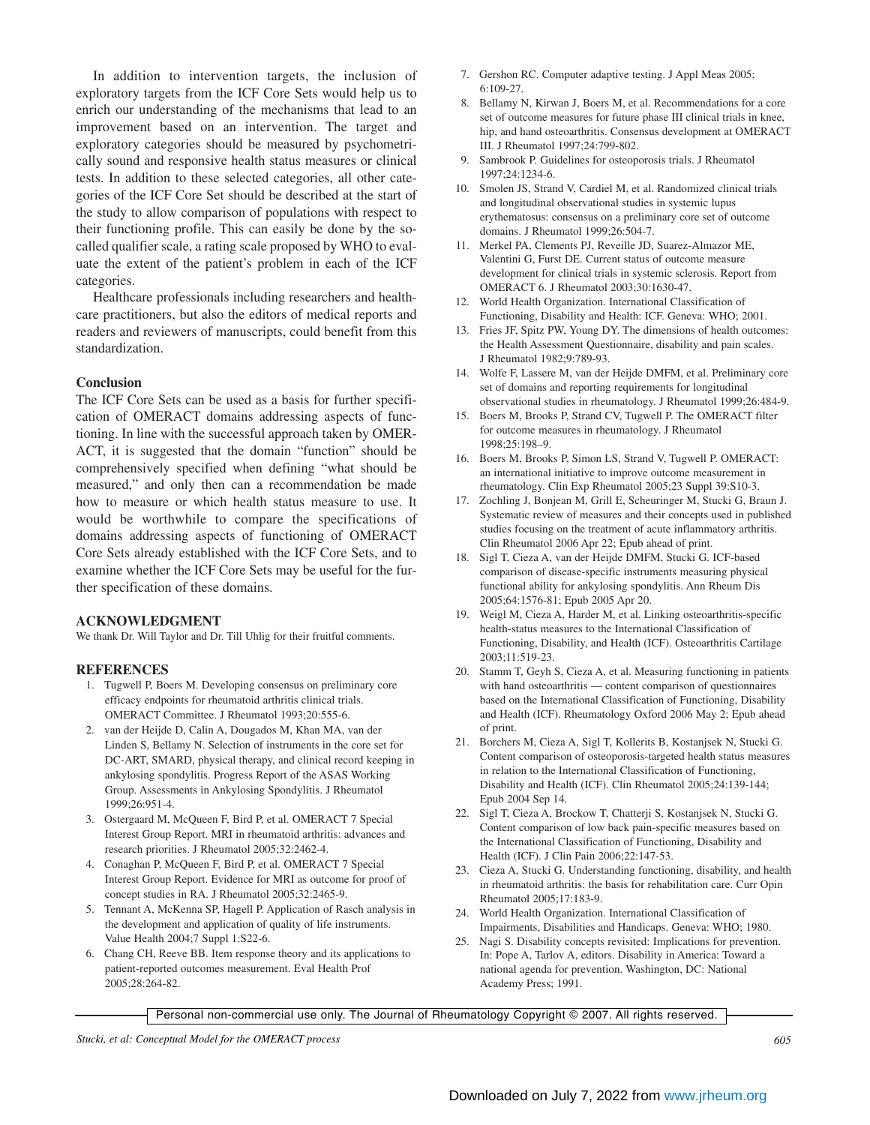In addition to intervention targets, the inclusion of exploratory targets from the ICF Core Sets would help us to enrich our understanding of the mechanisms that lead to an improvement based on an intervention. The target and exploratory categories should be measured by psychometrically sound and responsive health status measures or clinical tests. In addition to these selected categories, all other categories of the ICF Core Set should be described at the start of the study to allow comparison of populations with respect to their functioning profile. This can easily be done by the socalled qualifier scale, a rating scale proposed by WHO to evaluate the extent of the patient's problem in each of the ICF categories.

Healthcare professionals including researchers and healthcare practitioners, but also the editors of medical reports and readers and reviewers of manuscripts, could benefit from this standardization.

#### **Conclusion**

The ICF Core Sets can be used as a basis for further specification of OMERACT domains addressing aspects of functioning. In line with the successful approach taken by OMER-ACT, it is suggested that the domain "function" should be comprehensively specified when defining "what should be measured," and only then can a recommendation be made how to measure or which health status measure to use. It would be worthwhile to compare the specifications of domains addressing aspects of functioning of OMERACT Core Sets already established with the ICF Core Sets, and to examine whether the ICF Core Sets may be useful for the further specification of these domains.

#### **ACKNOWLEDGMENT**

We thank Dr. Will Taylor and Dr. Till Uhlig for their fruitful comments.

#### **REFERENCES**

- 1. Tugwell P, Boers M. Developing consensus on preliminary core efficacy endpoints for rheumatoid arthritis clinical trials. OMERACT Committee. J Rheumatol 1993;20:555-6.
- 2. van der Heijde D, Calin A, Dougados M, Khan MA, van der Linden S, Bellamy N. Selection of instruments in the core set for DC-ART, SMARD, physical therapy, and clinical record keeping in ankylosing spondylitis. Progress Report of the ASAS Working Group. Assessments in Ankylosing Spondylitis. J Rheumatol 1999;26:951-4.
- 3. Ostergaard M, McQueen F, Bird P, et al. OMERACT 7 Special Interest Group Report. MRI in rheumatoid arthritis: advances and research priorities. J Rheumatol 2005;32:2462-4.
- 4. Conaghan P, McQueen F, Bird P, et al. OMERACT 7 Special Interest Group Report. Evidence for MRI as outcome for proof of concept studies in RA. J Rheumatol 2005;32:2465-9.
- 5. Tennant A, McKenna SP, Hagell P. Application of Rasch analysis in the development and application of quality of life instruments. Value Health 2004;7 Suppl 1:S22-6.
- 6. Chang CH, Reeve BB. Item response theory and its applications to patient-reported outcomes measurement. Eval Health Prof 2005;28:264-82.
- 7. Gershon RC. Computer adaptive testing. J Appl Meas 2005; 6:109-27.
- 8. Bellamy N, Kirwan J, Boers M, et al. Recommendations for a core set of outcome measures for future phase III clinical trials in knee, hip, and hand osteoarthritis. Consensus development at OMERACT III. J Rheumatol 1997;24:799-802.
- 9. Sambrook P. Guidelines for osteoporosis trials. J Rheumatol 1997;24:1234-6.
- 10. Smolen JS, Strand V, Cardiel M, et al. Randomized clinical trials and longitudinal observational studies in systemic lupus erythematosus: consensus on a preliminary core set of outcome domains. J Rheumatol 1999;26:504-7.
- 11. Merkel PA, Clements PJ, Reveille JD, Suarez-Almazor ME, Valentini G, Furst DE. Current status of outcome measure development for clinical trials in systemic sclerosis. Report from OMERACT 6. J Rheumatol 2003;30:1630-47.
- 12. World Health Organization. International Classification of Functioning, Disability and Health: ICF. Geneva: WHO; 2001.
- 13. Fries JF, Spitz PW, Young DY. The dimensions of health outcomes: the Health Assessment Questionnaire, disability and pain scales. J Rheumatol 1982;9:789-93.
- 14. Wolfe F, Lassere M, van der Heijde DMFM, et al. Preliminary core set of domains and reporting requirements for longitudinal observational studies in rheumatology. J Rheumatol 1999;26:484-9.
- 15. Boers M, Brooks P, Strand CV, Tugwell P. The OMERACT filter for outcome measures in rheumatology. J Rheumatol 1998;25:198–9.
- 16. Boers M, Brooks P, Simon LS, Strand V, Tugwell P. OMERACT: an international initiative to improve outcome measurement in rheumatology. Clin Exp Rheumatol 2005;23 Suppl 39:S10-3.
- 17. Zochling J, Bonjean M, Grill E, Scheuringer M, Stucki G, Braun J. Systematic review of measures and their concepts used in published studies focusing on the treatment of acute inflammatory arthritis. Clin Rheumatol 2006 Apr 22; Epub ahead of print.
- 18. Sigl T, Cieza A, van der Heijde DMFM, Stucki G. ICF-based comparison of disease-specific instruments measuring physical functional ability for ankylosing spondylitis. Ann Rheum Dis 2005;64:1576-81; Epub 2005 Apr 20.
- 19. Weigl M, Cieza A, Harder M, et al. Linking osteoarthritis-specific health-status measures to the International Classification of Functioning, Disability, and Health (ICF). Osteoarthritis Cartilage 2003;11:519-23.
- 20. Stamm T, Geyh S, Cieza A, et al. Measuring functioning in patients with hand osteoarthritis — content comparison of questionnaires based on the International Classification of Functioning, Disability and Health (ICF). Rheumatology Oxford 2006 May 2; Epub ahead of print.
- 21. Borchers M, Cieza A, Sigl T, Kollerits B, Kostanjsek N, Stucki G. Content comparison of osteoporosis-targeted health status measures in relation to the International Classification of Functioning, Disability and Health (ICF). Clin Rheumatol 2005;24:139-144; Epub 2004 Sep 14.
- 22. Sigl T, Cieza A, Brockow T, Chatterji S, Kostanjsek N, Stucki G. Content comparison of low back pain-specific measures based on the International Classification of Functioning, Disability and Health (ICF). J Clin Pain 2006;22:147-53.
- 23. Cieza A, Stucki G. Understanding functioning, disability, and health in rheumatoid arthritis: the basis for rehabilitation care. Curr Opin Rheumatol 2005;17:183-9.
- 24. World Health Organization. International Classification of Impairments, Disabilities and Handicaps. Geneva: WHO; 1980.
- 25. Nagi S. Disability concepts revisited: Implications for prevention. In: Pope A, Tarlov A, editors. Disability in America: Toward a national agenda for prevention. Washington, DC: National Academy Press; 1991.

Personal non-commercial use only. The Journal of Rheumatology Copyright © 2007. All rights reserved.

*Stucki, et al: Conceptual Model for the OMERACT process 605*